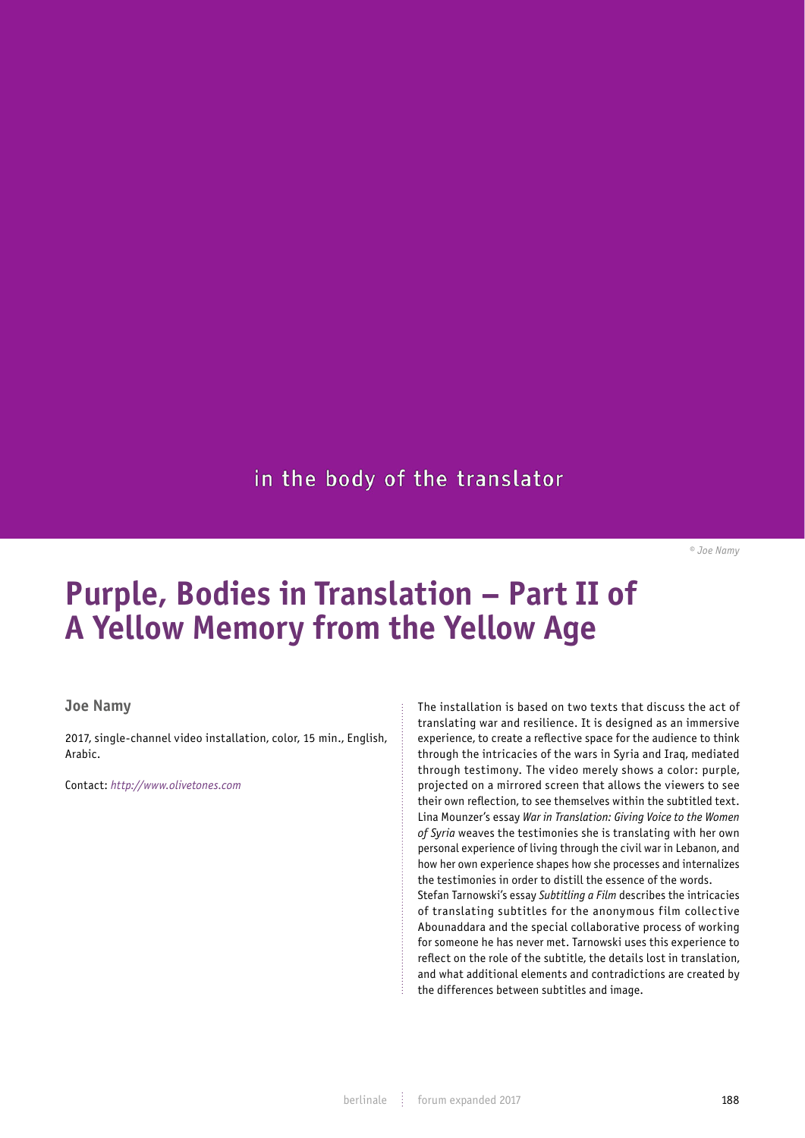## in the body of the translator

*© Joe Namy*

## **Purple, Bodies in Translation – Part II of A Yellow Memory from the Yellow Age**

## **Joe Namy**

2017, single-channel video installation, color, 15 min., English, Arabic.

Contact: *http://www.olivetones.com*

The installation is based on two texts that discuss the act of translating war and resilience. It is designed as an immersive experience, to create a reflective space for the audience to think through the intricacies of the wars in Syria and Iraq, mediated through testimony. The video merely shows a color: purple, projected on a mirrored screen that allows the viewers to see their own reflection, to see themselves within the subtitled text. Lina Mounzer's essay *War in Translation: Giving Voice to the Women of Syria* weaves the testimonies she is translating with her own personal experience of living through the civil war in Lebanon, and how her own experience shapes how she processes and internalizes the testimonies in order to distill the essence of the words. Stefan Tarnowski's essay *Subtitling a Film* describes the intricacies of translating subtitles for the anonymous film collective Abounaddara and the special collaborative process of working for someone he has never met. Tarnowski uses this experience to reflect on the role of the subtitle, the details lost in translation, and what additional elements and contradictions are created by

the differences between subtitles and image.